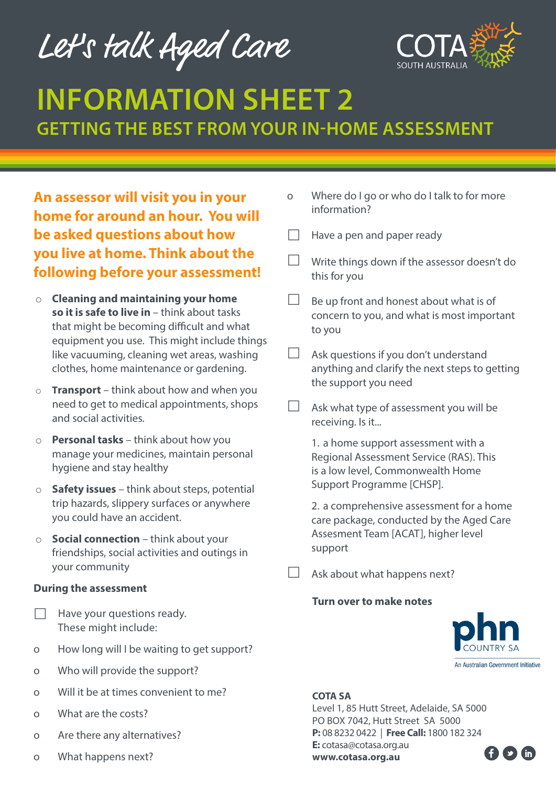Let's talk Aged Care



# **INFORMATION SHEET 2 GETTING THE BEST FROM YOUR IN-HOME ASSESSMENT**

**An assessor will visit you in your home for around an hour. You will be asked questions about how you live at home. Think about the following before your assessment!** 

- o **Cleaning and maintaining your home so it is safe to live in** – think about tasks that might be becoming difficult and what equipment you use. This might include things like vacuuming, cleaning wet areas, washing clothes, home maintenance or gardening.
- **Transport** think about how and when you need to get to medical appointments, shops and social activities.
- o **Personal tasks**  think about how you manage your medicines, maintain personal hygiene and stay healthy
- o **Safety issues** think about steps, potential trip hazards, slippery surfaces or anywhere you could have an accident.
- o **Social connection** think about your friendships, social activities and outings in your community

## **During the assessment**

- Have your questions ready. These might include:
- o How long will I be waiting to get support?
- o Who will provide the support?
- o Will it be at times convenient to me?
- o What are the costs?
- o Are there any alternatives?
- o What happens next?
- o Where do I go or who do I talk to for more information?
- $\Box$  Have a pen and paper ready
- Write things down if the assessor doesn't do this for you
- Be up front and honest about what is of concern to you, and what is most important to you
- $\Box$  Ask questions if you don't understand anything and clarify the next steps to getting the support you need
	- Ask what type of assessment you will be receiving. Is it...

1. a home support assessment with a Regional Assessment Service (RAS). This is a low level, Commonwealth Home Support Programme [CHSP].

2. a comprehensive assessment for a home care package, conducted by the Aged Care Assesment Team [ACAT], higher level support

Ask about what happens next?

#### **Turn over to make notes**



An Australian Government Initiative

## **COTA SA**

Level 1, 85 Hutt Street, Adelaide, SA 5000 PO BOX 7042, Hutt Street SA 5000 **P:** 08 8232 0422 | **Free Call:** 1800 182 324 **E:** cotasa@cotasa.org.au **www.cotasa.org.au**